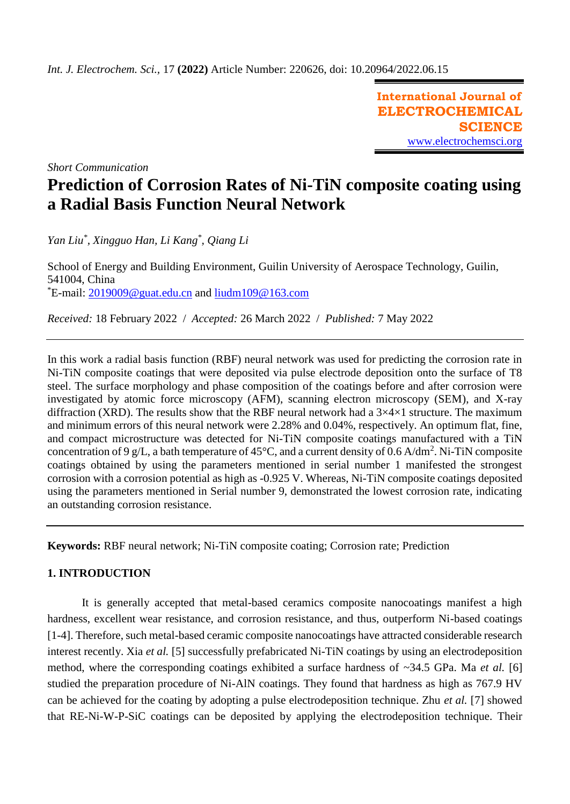**International Journal of ELECTROCHEMICAL SCIENCE** [www.electrochemsci.org](http://www.electrochemsci.org/)

*Short Communication*

# **Prediction of Corrosion Rates of Ni-TiN composite coating using a Radial Basis Function Neural Network**

*Yan Liu\* , Xingguo Han, Li Kang\* , Qiang Li*

School of Energy and Building Environment, Guilin University of Aerospace Technology, Guilin, 541004, China  $E$ -mail: [2019009@guat.edu.cn](mailto:2019009@guat.edu.cn) and [liudm109@163.com](mailto:liudm109@163.com)

*Received:* 18 February 2022/ *Accepted:* 26 March 2022 / *Published:* 7 May 2022

In this work a radial basis function (RBF) neural network was used for predicting the corrosion rate in Ni-TiN composite coatings that were deposited via pulse electrode deposition onto the surface of T8 steel. The surface morphology and phase composition of the coatings before and after corrosion were investigated by atomic force microscopy (AFM), scanning electron microscopy (SEM), and X-ray diffraction (XRD). The results show that the RBF neural network had a  $3\times4\times1$  structure. The maximum and minimum errors of this neural network were 2.28% and 0.04%, respectively. An optimum flat, fine, and compact microstructure was detected for Ni-TiN composite coatings manufactured with a TiN concentration of 9 g/L, a bath temperature of 45 $^{\circ}$ C, and a current density of 0.6 A/dm<sup>2</sup>. Ni-TiN composite coatings obtained by using the parameters mentioned in serial number 1 manifested the strongest corrosion with a corrosion potential as high as -0.925 V. Whereas, Ni-TiN composite coatings deposited using the parameters mentioned in Serial number 9, demonstrated the lowest corrosion rate, indicating an outstanding corrosion resistance.

**Keywords:** RBF neural network; Ni-TiN composite coating; Corrosion rate; Prediction

# **1. INTRODUCTION**

It is generally accepted that metal-based ceramics composite nanocoatings manifest a high hardness, excellent wear resistance, and corrosion resistance, and thus, outperform Ni-based coatings [1-4]. Therefore, such metal-based ceramic composite nanocoatings have attracted considerable research interest recently. Xia *et al.* [5] successfully prefabricated Ni-TiN coatings by using an electrodeposition method, where the corresponding coatings exhibited a surface hardness of ~34.5 GPa. Ma *et al.* [6] studied the preparation procedure of Ni-AlN coatings. They found that hardness as high as 767.9 HV can be achieved for the coating by adopting a pulse electrodeposition technique. Zhu *et al.* [7] showed that RE-Ni-W-P-SiC coatings can be deposited by applying the electrodeposition technique. Their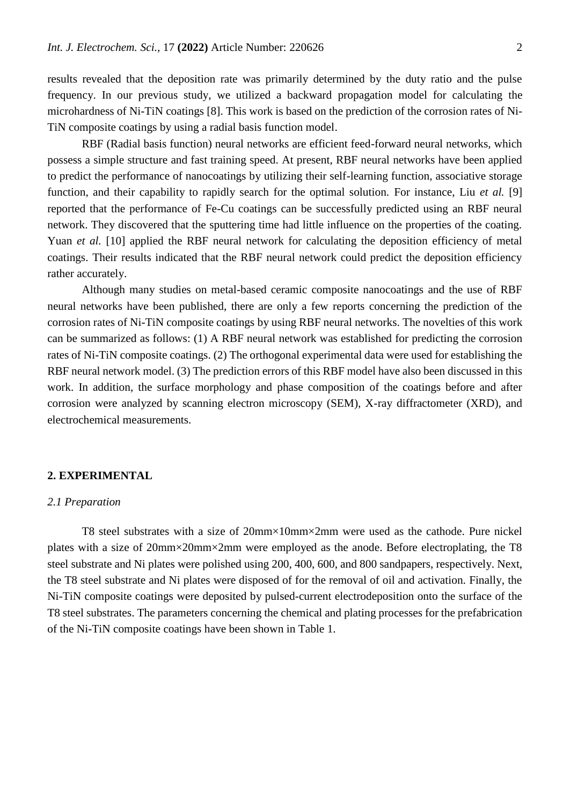results revealed that the deposition rate was primarily determined by the duty ratio and the pulse frequency. In our previous study, we utilized a backward propagation model for calculating the microhardness of Ni-TiN coatings [8]. This work is based on the prediction of the corrosion rates of Ni-TiN composite coatings by using a radial basis function model.

RBF (Radial basis function) neural networks are efficient feed-forward neural networks, which possess a simple structure and fast training speed. At present, RBF neural networks have been applied to predict the performance of nanocoatings by utilizing their self-learning function, associative storage function, and their capability to rapidly search for the optimal solution. For instance, Liu *et al.* [9] reported that the performance of Fe-Cu coatings can be successfully predicted using an RBF neural network. They discovered that the sputtering time had little influence on the properties of the coating. Yuan *et al.* [10] applied the RBF neural network for calculating the deposition efficiency of metal coatings. Their results indicated that the RBF neural network could predict the deposition efficiency rather accurately.

Although many studies on metal-based ceramic composite nanocoatings and the use of RBF neural networks have been published, there are only a few reports concerning the prediction of the corrosion rates of Ni-TiN composite coatings by using RBF neural networks. The novelties of this work can be summarized as follows: (1) A RBF neural network was established for predicting the corrosion rates of Ni-TiN composite coatings. (2) The orthogonal experimental data were used for establishing the RBF neural network model. (3) The prediction errors of this RBF model have also been discussed in this work. In addition, the surface morphology and phase composition of the coatings before and after corrosion were analyzed by scanning electron microscopy (SEM), X-ray diffractometer (XRD), and electrochemical measurements.

## **2. EXPERIMENTAL**

#### *2.1 Preparation*

T8 steel substrates with a size of 20mm×10mm×2mm were used as the cathode. Pure nickel plates with a size of 20mm×20mm×2mm were employed as the anode. Before electroplating, the T8 steel substrate and Ni plates were polished using 200, 400, 600, and 800 sandpapers, respectively. Next, the T8 steel substrate and Ni plates were disposed of for the removal of oil and activation. Finally, the Ni-TiN composite coatings were deposited by pulsed-current electrodeposition onto the surface of the T8 steel substrates. The parameters concerning the chemical and plating processes for the prefabrication of the Ni-TiN composite coatings have been shown in Table 1.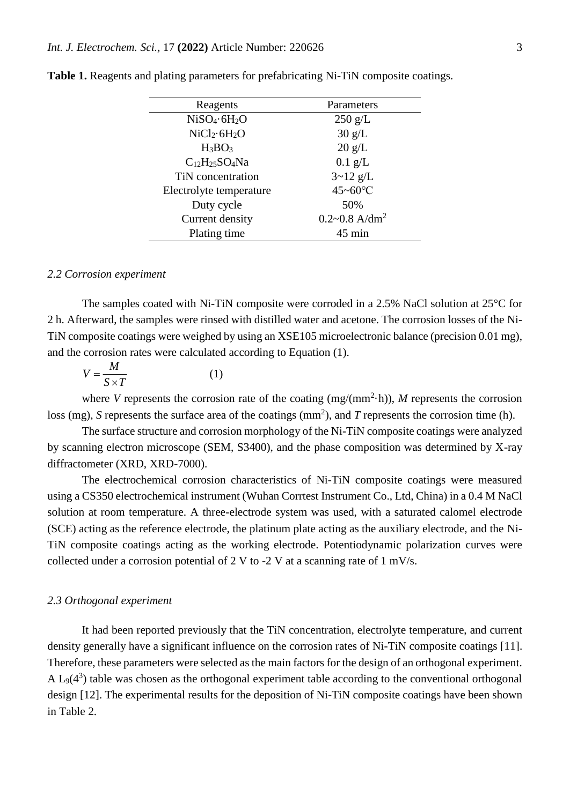| Reagents                | Parameters                    |
|-------------------------|-------------------------------|
| $NiSO_4.6H_2O$          | $250$ g/L                     |
| $NiCl2·6H2O$            | 30 g/L                        |
| $H_3BO_3$               | 20 g/L                        |
| $C_{12}H_{25}SO_4Na$    | $0.1$ g/L                     |
| TiN concentration       | $3 - 12$ g/L                  |
| Electrolyte temperature | 45~60°C                       |
| Duty cycle              | 50%                           |
| Current density         | $0.2 - 0.8$ A/dm <sup>2</sup> |
| Plating time            | $45 \text{ min}$              |
|                         |                               |

**Table 1.** Reagents and plating parameters for prefabricating Ni-TiN composite coatings.

#### *2.2 Corrosion experiment*

The samples coated with Ni-TiN composite were corroded in a 2.5% NaCl solution at 25°C for 2 h. Afterward, the samples were rinsed with distilled water and acetone. The corrosion losses of the Ni-TiN composite coatings were weighed by using an XSE105 microelectronic balance (precision 0.01 mg), and the corrosion rates were calculated according to Equation (1).

$$
V = \frac{M}{S \times T} \tag{1}
$$

where *V* represents the corrosion rate of the coating  $(mg/(mm^2 \cdot h))$ , *M* represents the corrosion loss (mg), *S* represents the surface area of the coatings ( $mm<sup>2</sup>$ ), and *T* represents the corrosion time (h).

The surface structure and corrosion morphology of the Ni-TiN composite coatings were analyzed by scanning electron microscope (SEM, S3400), and the phase composition was determined by X-ray diffractometer (XRD, XRD-7000).

The electrochemical corrosion characteristics of Ni-TiN composite coatings were measured using a CS350 electrochemical instrument (Wuhan Corrtest Instrument Co., Ltd, China) in a 0.4 M NaCl solution at room temperature. A three-electrode system was used, with a saturated calomel electrode (SCE) acting as the reference electrode, the platinum plate acting as the auxiliary electrode, and the Ni-TiN composite coatings acting as the working electrode. Potentiodynamic polarization curves were collected under a corrosion potential of 2 V to -2 V at a scanning rate of 1 mV/s.

### *2.3 Orthogonal experiment*

It had been reported previously that the TiN concentration, electrolyte temperature, and current density generally have a significant influence on the corrosion rates of Ni-TiN composite coatings [11]. Therefore, these parameters were selected as the main factors for the design of an orthogonal experiment. A  $L_9(4^3)$  table was chosen as the orthogonal experiment table according to the conventional orthogonal design [12]. The experimental results for the deposition of Ni-TiN composite coatings have been shown in Table 2.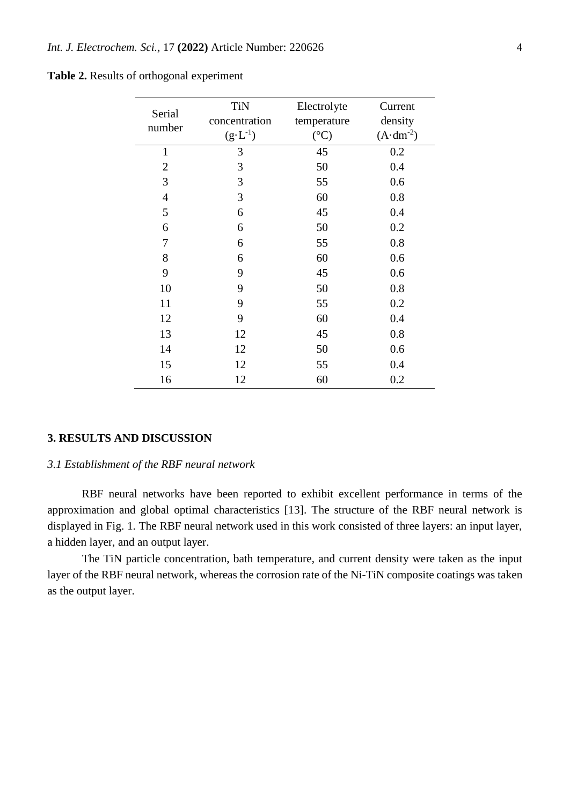|  |  |  |  | <b>Table 2.</b> Results of orthogonal experiment |
|--|--|--|--|--------------------------------------------------|
|--|--|--|--|--------------------------------------------------|

| Serial         | <b>TiN</b>         | Electrolyte     | Current             |
|----------------|--------------------|-----------------|---------------------|
| number         | concentration      | temperature     | density             |
|                | $(g \cdot L^{-1})$ | $({}^{\circ}C)$ | $(A \cdot dm^{-2})$ |
| $\mathbf{1}$   | 3                  | 45              | 0.2                 |
| $\overline{2}$ | 3                  | 50              | 0.4                 |
| 3              | 3                  | 55              | 0.6                 |
| $\overline{4}$ | 3                  | 60              | 0.8                 |
| 5              | 6                  | 45              | 0.4                 |
| 6              | 6                  | 50              | 0.2                 |
| 7              | 6                  | 55              | 0.8                 |
| 8              | 6                  | 60              | 0.6                 |
| 9              | 9                  | 45              | 0.6                 |
| 10             | 9                  | 50              | 0.8                 |
| 11             | 9                  | 55              | 0.2                 |
| 12             | 9                  | 60              | 0.4                 |
| 13             | 12                 | 45              | 0.8                 |
| 14             | 12                 | 50              | 0.6                 |
| 15             | 12                 | 55              | 0.4                 |
| 16             | 12                 | 60              | 0.2                 |

#### **3. RESULTS AND DISCUSSION**

#### *3.1 Establishment of the RBF neural network*

RBF neural networks have been reported to exhibit excellent performance in terms of the approximation and global optimal characteristics [13]. The structure of the RBF neural network is displayed in Fig. 1. The RBF neural network used in this work consisted of three layers: an input layer, a hidden layer, and an output layer.

The TiN particle concentration, bath temperature, and current density were taken as the input layer of the RBF neural network, whereas the corrosion rate of the Ni-TiN composite coatings was taken as the output layer.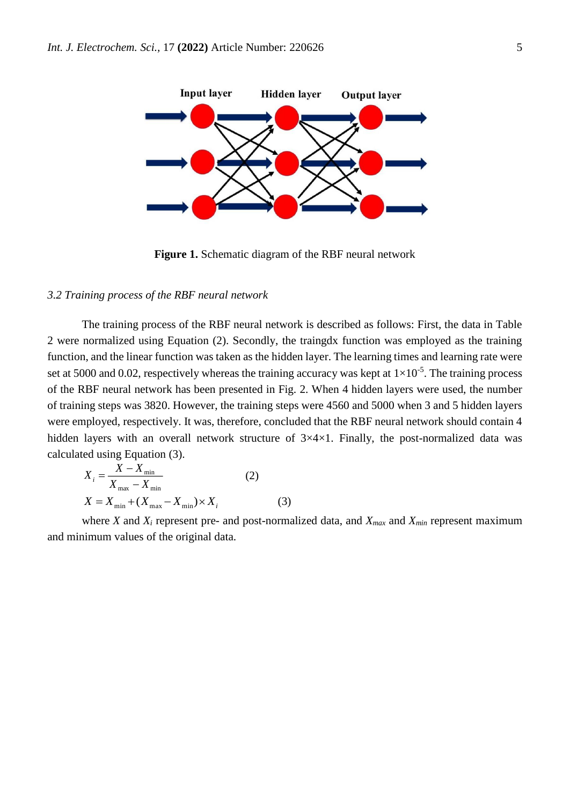

**Figure 1.** Schematic diagram of the RBF neural network

#### *3.2 Training process of the RBF neural network*

The training process of the RBF neural network is described as follows: First, the data in Table 2 were normalized using Equation (2). Secondly, the traingdx function was employed as the training function, and the linear function was taken as the hidden layer. The learning times and learning rate were set at 5000 and 0.02, respectively whereas the training accuracy was kept at  $1\times10^{-5}$ . The training process of the RBF neural network has been presented in Fig. 2. When 4 hidden layers were used, the number of training steps was 3820. However, the training steps were 4560 and 5000 when 3 and 5 hidden layers were employed, respectively. It was, therefore, concluded that the RBF neural network should contain 4 hidden layers with an overall network structure of  $3\times4\times1$ . Finally, the post-normalized data was calculated using Equation (3).

$$
X_{i} = \frac{X - X_{\min}}{X_{\max} - X_{\min}} \tag{2}
$$
  

$$
X = X_{\min} + (X_{\max} - X_{\min}) \times X_{i} \tag{3}
$$

where *X* and *X<sup>i</sup>* represent pre- and post-normalized data, and *Xmax* and *Xmin* represent maximum and minimum values of the original data.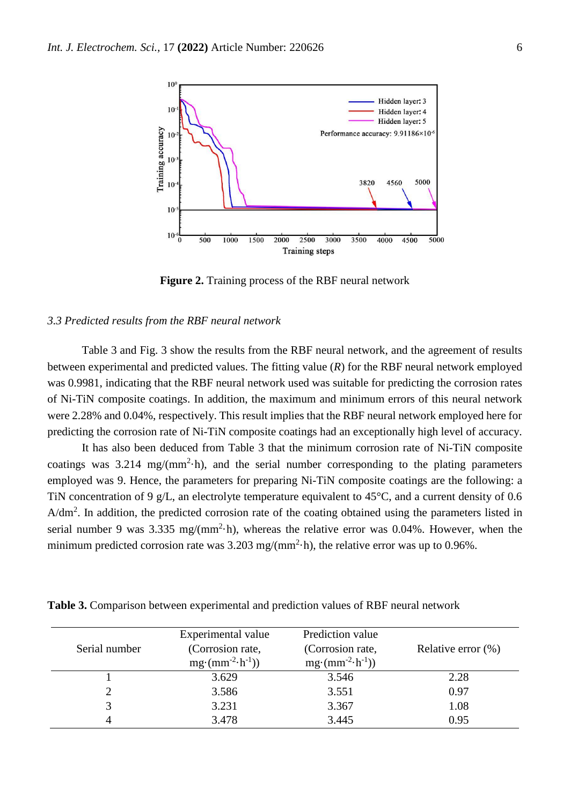

**Figure 2.** Training process of the RBF neural network

#### *3.3 Predicted results from the RBF neural network*

Table 3 and Fig. 3 show the results from the RBF neural network, and the agreement of results between experimental and predicted values. The fitting value (*R*) for the RBF neural network employed was 0.9981, indicating that the RBF neural network used was suitable for predicting the corrosion rates of Ni-TiN composite coatings. In addition, the maximum and minimum errors of this neural network were 2.28% and 0.04%, respectively. This result implies that the RBF neural network employed here for predicting the corrosion rate of Ni-TiN composite coatings had an exceptionally high level of accuracy.

It has also been deduced from Table 3 that the minimum corrosion rate of Ni-TiN composite coatings was  $3.214 \text{ mg/(mm}^2 \cdot h)$ , and the serial number corresponding to the plating parameters employed was 9. Hence, the parameters for preparing Ni-TiN composite coatings are the following: a TiN concentration of 9 g/L, an electrolyte temperature equivalent to 45°C, and a current density of 0.6  $A/dm<sup>2</sup>$ . In addition, the predicted corrosion rate of the coating obtained using the parameters listed in serial number 9 was 3.335 mg/(mm<sup>2</sup> $\cdot$ h), whereas the relative error was 0.04%. However, when the minimum predicted corrosion rate was  $3.203 \text{ mg/(mm}^2 \cdot \text{h})$ , the relative error was up to 0.96%.

| Serial number | Experimental value<br>(Corrosion rate,<br>$mg \cdot (mm^{-2} \cdot h^{-1}))$ | Prediction value<br>(Corrosion rate,<br>$mg \cdot (mm^{-2} \cdot h^{-1}))$ | Relative error $(\%)$ |
|---------------|------------------------------------------------------------------------------|----------------------------------------------------------------------------|-----------------------|
|               | 3.629                                                                        | 3.546                                                                      | 2.28                  |
|               | 3.586                                                                        | 3.551                                                                      | 0.97                  |
|               | 3.231                                                                        | 3.367                                                                      | 1.08                  |
|               | 3.478                                                                        | 3.445                                                                      | 0.95                  |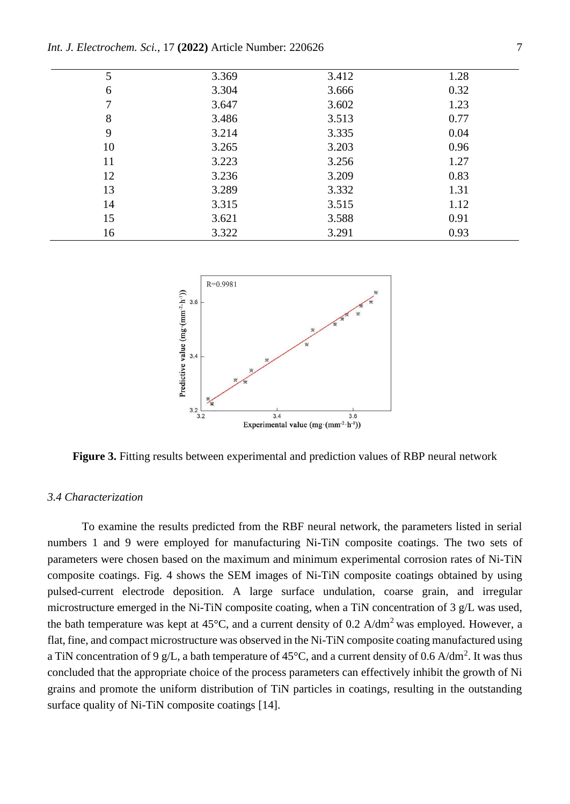| 5  | 3.369 | 3.412 | 1.28 |
|----|-------|-------|------|
| 6  | 3.304 | 3.666 | 0.32 |
|    | 3.647 | 3.602 | 1.23 |
| 8  | 3.486 | 3.513 | 0.77 |
| 9  | 3.214 | 3.335 | 0.04 |
| 10 | 3.265 | 3.203 | 0.96 |
| 11 | 3.223 | 3.256 | 1.27 |
| 12 | 3.236 | 3.209 | 0.83 |
| 13 | 3.289 | 3.332 | 1.31 |
| 14 | 3.315 | 3.515 | 1.12 |
| 15 | 3.621 | 3.588 | 0.91 |
| 16 | 3.322 | 3.291 | 0.93 |

*Int. J. Electrochem. Sci.,* 17 **(2022)** Article Number: 220626 7



**Figure 3.** Fitting results between experimental and prediction values of RBP neural network

## *3.4 Characterization*

To examine the results predicted from the RBF neural network, the parameters listed in serial numbers 1 and 9 were employed for manufacturing Ni-TiN composite coatings. The two sets of parameters were chosen based on the maximum and minimum experimental corrosion rates of Ni-TiN composite coatings. Fig. 4 shows the SEM images of Ni-TiN composite coatings obtained by using pulsed-current electrode deposition. A large surface undulation, coarse grain, and irregular microstructure emerged in the Ni-TiN composite coating, when a TiN concentration of 3 g/L was used, the bath temperature was kept at  $45^{\circ}$ C, and a current density of 0.2 A/dm<sup>2</sup> was employed. However, a flat, fine, and compact microstructure was observed in the Ni-TiN composite coating manufactured using a TiN concentration of 9 g/L, a bath temperature of 45 $^{\circ}$ C, and a current density of 0.6 A/dm<sup>2</sup>. It was thus concluded that the appropriate choice of the process parameters can effectively inhibit the growth of Ni grains and promote the uniform distribution of TiN particles in coatings, resulting in the outstanding surface quality of Ni-TiN composite coatings [14].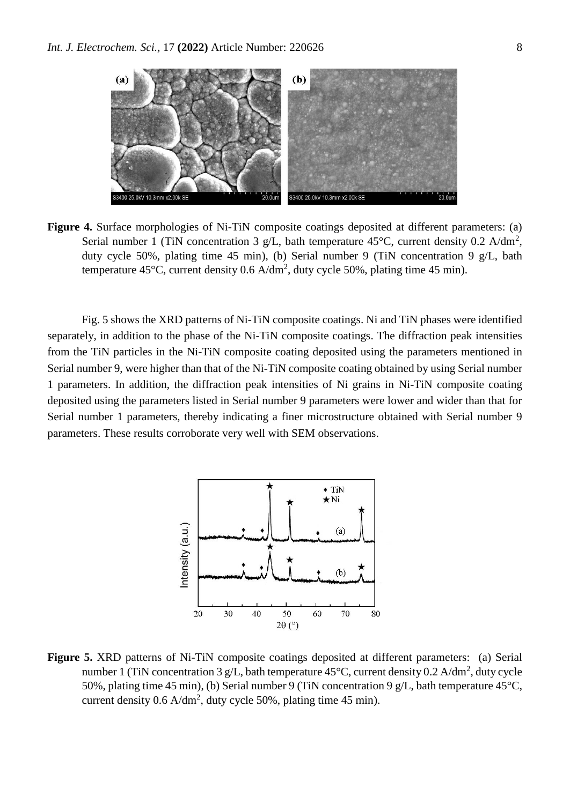

**Figure 4.** Surface morphologies of Ni-TiN composite coatings deposited at different parameters: (a) Serial number 1 (TiN concentration 3 g/L, bath temperature  $45^{\circ}$ C, current density 0.2 A/dm<sup>2</sup>, duty cycle 50%, plating time 45 min), (b) Serial number 9 (TiN concentration 9 g/L, bath temperature 45 $\rm{^{\circ}C}$ , current density 0.6 A/dm<sup>2</sup>, duty cycle 50%, plating time 45 min).

Fig. 5 shows the XRD patterns of Ni-TiN composite coatings. Ni and TiN phases were identified separately, in addition to the phase of the Ni-TiN composite coatings. The diffraction peak intensities from the TiN particles in the Ni-TiN composite coating deposited using the parameters mentioned in Serial number 9, were higher than that of the Ni-TiN composite coating obtained by using Serial number 1 parameters. In addition, the diffraction peak intensities of Ni grains in Ni-TiN composite coating deposited using the parameters listed in Serial number 9 parameters were lower and wider than that for Serial number 1 parameters, thereby indicating a finer microstructure obtained with Serial number 9 parameters. These results corroborate very well with SEM observations.



**Figure 5.** XRD patterns of Ni-TiN composite coatings deposited at different parameters: (a) Serial number 1 (TiN concentration 3 g/L, bath temperature  $45^{\circ}$ C, current density 0.2 A/dm<sup>2</sup>, duty cycle 50%, plating time 45 min), (b) Serial number 9 (TiN concentration 9 g/L, bath temperature 45°C, current density  $0.6$  A/dm<sup>2</sup>, duty cycle 50%, plating time 45 min).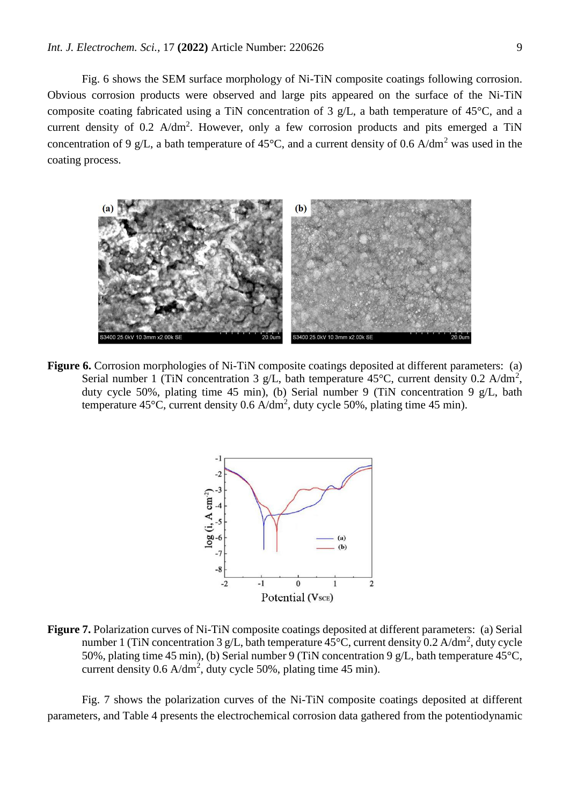Fig. 6 shows the SEM surface morphology of Ni-TiN composite coatings following corrosion. Obvious corrosion products were observed and large pits appeared on the surface of the Ni-TiN composite coating fabricated using a TiN concentration of 3 g/L, a bath temperature of 45°C, and a current density of 0.2  $A/dm^2$ . However, only a few corrosion products and pits emerged a TiN concentration of 9 g/L, a bath temperature of 45 $^{\circ}$ C, and a current density of 0.6 A/dm<sup>2</sup> was used in the coating process.



**Figure 6.** Corrosion morphologies of Ni-TiN composite coatings deposited at different parameters: (a) Serial number 1 (TiN concentration 3 g/L, bath temperature  $45^{\circ}$ C, current density 0.2 A/dm<sup>2</sup>, duty cycle 50%, plating time 45 min), (b) Serial number 9 (TiN concentration 9 g/L, bath temperature 45 $\rm{^{\circ}C}$ , current density 0.6 A/dm<sup>2</sup>, duty cycle 50%, plating time 45 min).



**Figure 7.** Polarization curves of Ni-TiN composite coatings deposited at different parameters: (a) Serial number 1 (TiN concentration 3 g/L, bath temperature  $45^{\circ}$ C, current density 0.2 A/dm<sup>2</sup>, duty cycle 50%, plating time 45 min), (b) Serial number 9 (TiN concentration 9 g/L, bath temperature 45°C, current density  $0.6$  A/dm<sup>2</sup>, duty cycle 50%, plating time 45 min).

Fig. 7 shows the polarization curves of the Ni-TiN composite coatings deposited at different parameters, and Table 4 presents the electrochemical corrosion data gathered from the potentiodynamic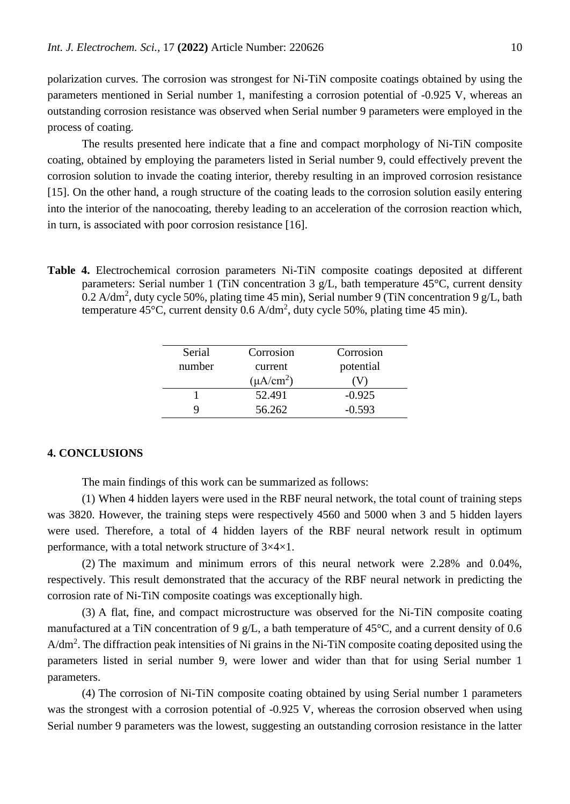polarization curves. The corrosion was strongest for Ni-TiN composite coatings obtained by using the parameters mentioned in Serial number 1, manifesting a corrosion potential of -0.925 V, whereas an outstanding corrosion resistance was observed when Serial number 9 parameters were employed in the process of coating.

The results presented here indicate that a fine and compact morphology of Ni-TiN composite coating, obtained by employing the parameters listed in Serial number 9, could effectively prevent the corrosion solution to invade the coating interior, thereby resulting in an improved corrosion resistance [15]. On the other hand, a rough structure of the coating leads to the corrosion solution easily entering into the interior of the nanocoating, thereby leading to an acceleration of the corrosion reaction which, in turn, is associated with poor corrosion resistance [16].

**Table 4.** Electrochemical corrosion parameters Ni-TiN composite coatings deposited at different parameters: Serial number 1 (TiN concentration 3 g/L, bath temperature 45°C, current density 0.2 A/dm<sup>2</sup>, duty cycle 50%, plating time 45 min), Serial number 9 (TiN concentration 9 g/L, bath temperature 45 $\rm{^{\circ}C}$ , current density 0.6 A/dm<sup>2</sup>, duty cycle 50%, plating time 45 min).

| Serial<br>number | Corrosion<br>current | Corrosion<br>potential |
|------------------|----------------------|------------------------|
|                  | $(\mu A/cm^2)$       |                        |
|                  | 52.491               | $-0.925$               |
|                  | 56.262               | $-0.593$               |

#### **4. CONCLUSIONS**

The main findings of this work can be summarized as follows:

(1) When 4 hidden layers were used in the RBF neural network, the total count of training steps was 3820. However, the training steps were respectively 4560 and 5000 when 3 and 5 hidden layers were used. Therefore, a total of 4 hidden layers of the RBF neural network result in optimum performance, with a total network structure of 3×4×1.

(2) The maximum and minimum errors of this neural network were 2.28% and 0.04%, respectively. This result demonstrated that the accuracy of the RBF neural network in predicting the corrosion rate of Ni-TiN composite coatings was exceptionally high.

(3) A flat, fine, and compact microstructure was observed for the Ni-TiN composite coating manufactured at a TiN concentration of 9 g/L, a bath temperature of 45°C, and a current density of 0.6  $A/dm<sup>2</sup>$ . The diffraction peak intensities of Ni grains in the Ni-TiN composite coating deposited using the parameters listed in serial number 9, were lower and wider than that for using Serial number 1 parameters.

(4) The corrosion of Ni-TiN composite coating obtained by using Serial number 1 parameters was the strongest with a corrosion potential of -0.925 V, whereas the corrosion observed when using Serial number 9 parameters was the lowest, suggesting an outstanding corrosion resistance in the latter